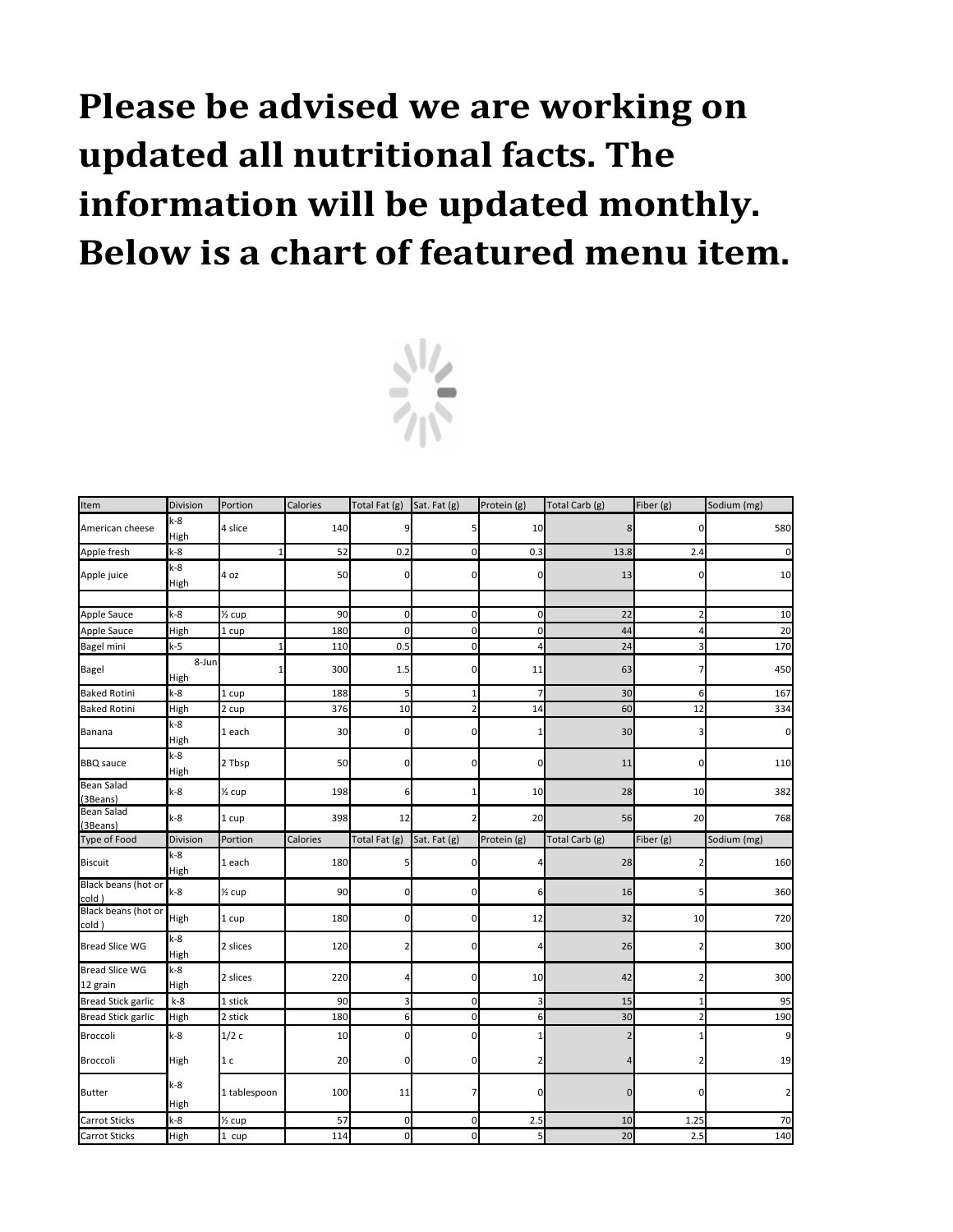| Item                              | Division             | Portion           | Calories | Total Fat (g)  | Sat. Fat (g)   | Protein (g)             | Total Carb (g) | Fiber (g)      | Sodium (mg)             |
|-----------------------------------|----------------------|-------------------|----------|----------------|----------------|-------------------------|----------------|----------------|-------------------------|
| American cheese                   | $k-8$<br><b>High</b> | 4 slice           | 140      |                |                | 10                      | 8              | 0              | 580                     |
| Apple fresh                       | $k-8$                |                   | 52       | 0.2            | $\overline{0}$ | 0.3                     | 13.8           | 2.4            |                         |
| Apple juice                       | $k-8$<br>High        | 4 oz              | 50       | 0              | 0              | 0                       | 13             | $\overline{0}$ | 10                      |
|                                   |                      |                   |          |                |                |                         |                |                |                         |
| Apple Sauce                       | $k-8$                | $\frac{1}{2}$ cup | 90       | $\mathbf 0$    | $\overline{0}$ | 0                       | 22             |                | 10                      |
| Apple Sauce                       | High                 | 1 cup             | 180      | 0              | <sub>0</sub>   | 0                       | 44             | 4              | 20                      |
| <b>Bagel mini</b>                 | $k-5$                |                   | 110      | 0.5            | $\overline{0}$ | 4                       | 24             |                | 170                     |
| <b>Bagel</b>                      | 8-Jun<br><b>High</b> |                   | 300      | 1.5            | 0              | 11                      | 63             |                | 450                     |
| <b>Baked Rotini</b>               | $k-8$                | 1 cup             | 188      | 5              |                |                         | 30             | 6              | 167                     |
| <b>Baked Rotini</b>               | High                 | 2 cup             | 376      | 10             |                | 14                      | 60             | 12             | 334                     |
| Banana                            | $k-8$<br>High        | 1 each            | 30       | 0              | n              |                         | 30             |                | 0                       |
| <b>BBQ</b> sauce                  | $k-8$<br>High        | 2 Tbsp            | 50       | 0              | n              | 0                       | 11             | $\overline{0}$ | 110                     |
| <b>Bean Salad</b><br>(3Beans)     | $k-8$                | $\frac{1}{2}$ cup | 198      | 6              |                | 10                      | 28             | 10             | 382                     |
| <b>Bean Salad</b><br>(3Beans)     | $k-8$                | 1 cup             | 398      | 12             |                | 20                      | 56             | 20             | 768                     |
| Type of Food                      | Division             | Portion           | Calories | Total Fat (g)  | Sat. Fat (g)   | Protein (g)             | Total Carb (g) | Fiber (g)      | Sodium (mg)             |
| <b>Biscuit</b>                    | $k-8$<br>High        | 1 each            | 180      |                | 0              |                         | 28             |                | 160                     |
| Black beans (hot or<br>cold)      | $k-8$                | $\frac{1}{2}$ cup | 90       | 0              | <sub>0</sub>   | 61                      | 16             | 5              | 360                     |
| Black beans (hot or<br>cold)      | High                 | 1 cup             | 180      | 0              | $\Omega$       | 12                      | 32             | 10             | 720                     |
| <b>Bread Slice WG</b>             | $k-8$<br>High        | 2 slices          | 120      | 2              | $\Omega$       |                         | 26             |                | 300                     |
| <b>Bread Slice WG</b><br>12 grain | $k-8$<br><b>High</b> | 2 slices          | 220      | 4              | $\overline{0}$ | 10                      | 42             | $\mathbf{2}$   | 300                     |
| <b>Bread Stick garlic</b>         | $k-8$                | 1 stick           | 90       | 3              | $\overline{0}$ | $\overline{\mathbf{3}}$ | 15             |                | 95                      |
| <b>Bread Stick garlic</b>         | High                 | 2 stick           | 180      | 6              | $\Omega$       | $6 \overline{6}$        | 30             |                | 190                     |
| Broccoli                          | $k-8$                | 1/2c              | 10       | 0              | 0              |                         | 2              |                | 9                       |
| Broccoli                          | <b>High</b>          | 1 <sub>c</sub>    | 20       | 0              | 0              |                         | 4              |                | 19                      |
| <b>Butter</b>                     | $k-8$<br>High        | 1 tablespoon      | 100      | 11             |                | 0                       | $\overline{0}$ | 0              | $\overline{\mathbf{c}}$ |
| <b>Carrot Sticks</b>              | $k-8$                | 1/2 cup           | 57       | $\overline{0}$ | $\overline{0}$ | 2.5                     | 10             | 1.25           | 70                      |
| <b>Carrot Sticks</b>              | High                 | 1 cup             | 114      | $\overline{0}$ | $\overline{0}$ | 5 <sub>l</sub>          | $20\,$         | 2.5            | 140                     |

## **Please be advised we are working on updated all nutritional facts. The information will be updated monthly. Below is a chart of featured menu item.**

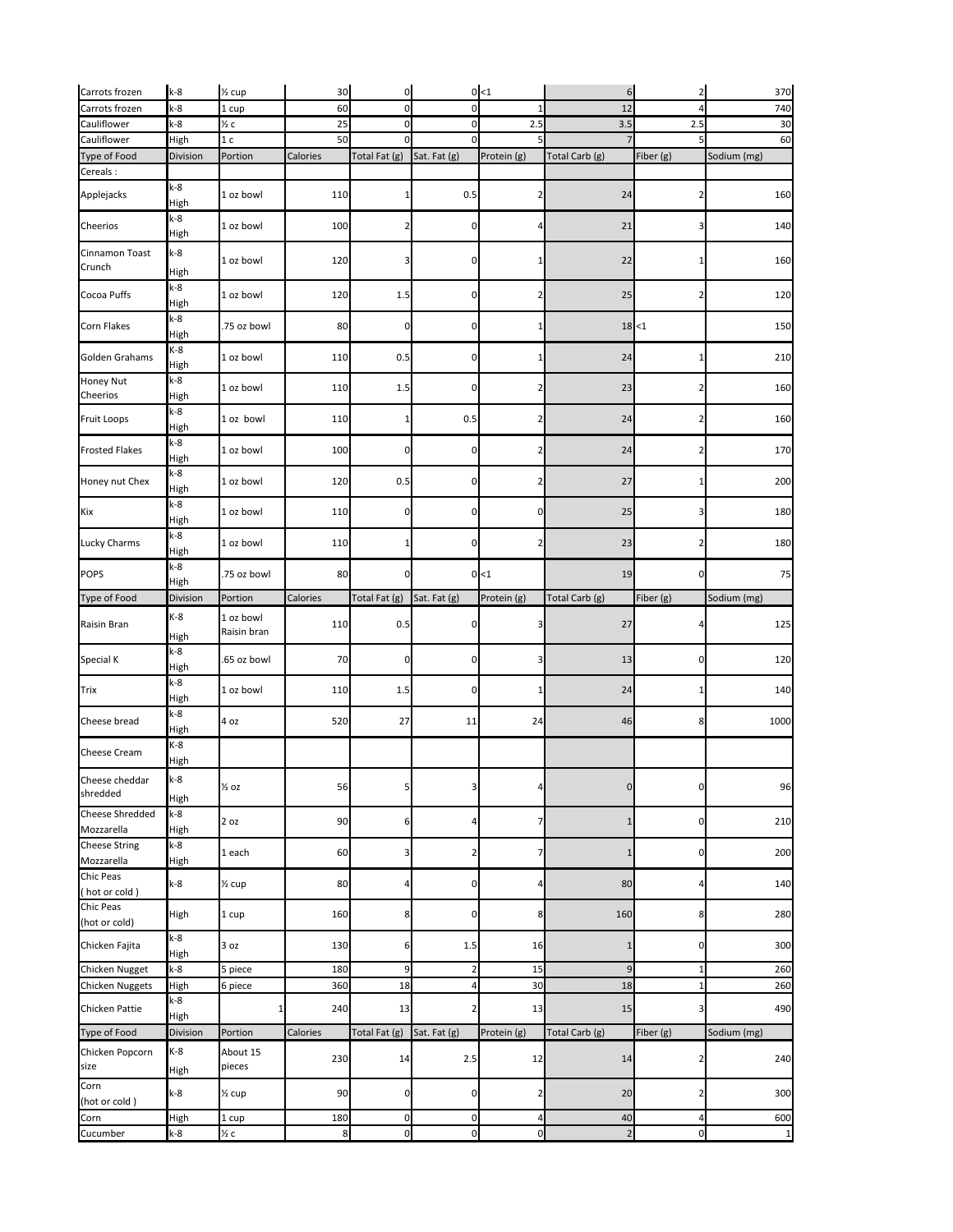| Carrots frozen                           | $k-8$         | $\frac{1}{2}$ cup        | 30               | $\overline{0}$                 |                | 0<1            | $6 \overline{6}$ | 2              | 370         |
|------------------------------------------|---------------|--------------------------|------------------|--------------------------------|----------------|----------------|------------------|----------------|-------------|
| Carrots frozen                           | $k-8$         | 1 cup                    | 60               | $\mathbf 0$                    |                | $\mathbf{1}$   | 12               |                | 740         |
| Cauliflower                              | $k-8$         | $\frac{1}{2}c$           | 25               | $\mathbf 0$                    | $\Omega$       | 2.5            | 3.5              | 2.5            | 30          |
| Cauliflower                              | High          | 1 <sub>c</sub>           | 50               |                                |                |                |                  |                | 60          |
| Type of Food                             | Division      | Portion                  | Calories         | Total Fat (g)                  | Sat. Fat (g)   | Protein (g)    | Total Carb (g)   | Fiber (g)      | Sodium (mg) |
| Cereals:                                 |               |                          |                  |                                |                |                |                  |                |             |
| Applejacks                               | $k-8$<br>High | 1 oz bowl                | 110              |                                | 0.5            |                | 24               |                | 160         |
| Cheerios                                 | $k-8$<br>High | 1 oz bowl                | 100              | $\overline{2}$                 | 0              | 4              | 21               | 3              | 140         |
| Cinnamon Toast<br>Crunch                 | $k-8$<br>High | 1 oz bowl                | 120              | 3                              |                |                | 22               |                | 160         |
| Cocoa Puffs                              | $k-8$<br>High | 1 oz bowl                | 120              | 1.5                            | $\Omega$       | 2              | 25               |                | 120         |
| Corn Flakes                              | $k-8$<br>High | .75 oz bowl              | 80               | $\overline{0}$                 | 0              | 1              |                  | 18 < 1         | 150         |
| Golden Grahams                           | $K-8$<br>High | 1 oz bowl                | 110              | 0.5                            | 0              | 1              | 24               |                | 210         |
| Honey Nut<br>Cheerios                    | $k-8$<br>High | 1 oz bowl                | 110              | 1.5                            | n              | 2              | 23               |                | 160         |
| <b>Fruit Loops</b>                       | $k-8$<br>High | 1 oz bowl                | 110              |                                | 0.5            | 2              | 24               |                | 160         |
| <b>Frosted Flakes</b>                    | $k-8$<br>High | 1 oz bowl                | 100              | $\Omega$                       | $\Omega$       | 2              | 24               |                | 170         |
| Honey nut Chex                           | $k-8$<br>High | 1 oz bowl                | 120              | 0.5                            | $\Omega$       | 2              | 27               |                | 200         |
| Kix                                      | $k-8$<br>High | 1 oz bowl                | 110              | $\overline{0}$                 | $\Omega$       | $\overline{0}$ | 25               |                | 180         |
| Lucky Charms                             | $k-8$<br>High | 1 oz bowl                | 110              |                                |                | $\overline{2}$ | 23               |                | 180         |
| <b>POPS</b>                              | $k-8$<br>High | .75 oz bowl              | 80               | <sup>0</sup>                   |                | 0 < 1          | 19               | 0              | 75          |
| Type of Food                             | Division      | Portion                  | Calories         | Total Fat (g)                  | Sat. Fat (g)   | Protein (g)    | Total Carb (g)   | Fiber (g)      | Sodium (mg) |
| Raisin Bran                              | $K-8$<br>High | 1 oz bowl<br>Raisin bran | 110              | 0.5                            |                | 3              | 27               |                | 125         |
| Special K                                | $k-8$<br>High | .65 oz bowl              | 70               | $\Omega$                       | 0              | 3              | 13               | 0              | 120         |
| <b>Trix</b>                              | $k-8$<br>High | 1 oz bowl                | 110              | 1.5                            | <sup>0</sup>   |                | 24               |                | 140         |
| Cheese bread                             | $k-8$<br>High | 4 oz                     | 520              | 27                             | 11             | 24             | 46               | 8              | 1000        |
| Cheese Cream                             | $K-8$<br>High |                          |                  |                                |                |                |                  |                |             |
| Cheese cheddar<br>shredded               | $k-8$<br>High | $\frac{1}{2}$ oz         | 56               |                                |                |                | $\mathbf 0$      | 0              | 96          |
| <b>Cheese Shredded</b><br>Mozzarella     | $k-8$<br>High | 2 oz                     | 90               | 6                              |                |                | 1                | 0              | 210         |
| <b>Cheese String</b><br>Mozzarella       | $k-8$<br>High | 1 each                   | 60               | 3                              |                |                | 1                | 0              | 200         |
| <b>Chic Peas</b><br>(hot or cold)        | $k-8$         | $\frac{1}{2}$ cup        | 80               | 4                              | n              | Δ              | 80               |                | 140         |
| <b>Chic Peas</b><br>(hot or cold)        | High          | 1 cup                    | 160              | 8                              | n              | 8              | 160              | 8              | 280         |
| Chicken Fajita                           | $k-8$<br>High | 3 oz                     | 130              | 6                              | 1.5            | 16             |                  |                | 300         |
| Chicken Nugget                           | $k-8$         | 5 piece                  | 180              | $\overline{9}$                 | 2              | 15             | 9                |                | 260         |
| <b>Chicken Nuggets</b><br>Chicken Pattie | High<br>$k-8$ | 6 piece                  | 360<br>240       | 18<br>13                       |                | 30<br>13       | 18<br>15         |                | 260<br>490  |
|                                          | High          |                          |                  |                                |                |                |                  |                |             |
| Type of Food                             | Division      | Portion                  | Calories         | Total Fat $(g)$ Sat. Fat $(g)$ |                | Protein (g)    | Total Carb (g)   | Fiber (g)      | Sodium (mg) |
| Chicken Popcorn<br>size                  | $K-8$<br>High | About 15<br>pieces       | 230              | 14                             | 2.5            | 12             | 14               |                | 240         |
| Corn<br>(hot or cold)                    | $k-8$         | $\frac{1}{2}$ cup        | 90               | $\overline{0}$                 | 0l             | $\mathbf{2}$   | 20               | 2              | 300         |
| Corn                                     | High          | 1 cup                    | 180              | $\overline{0}$                 | $\overline{0}$ | $\overline{a}$ | 40               | 4              | 600         |
| Cucumber                                 | $k-8$         | $\frac{1}{2}c$           | $\boldsymbol{8}$ | $\overline{O}$                 | $\overline{0}$ | 0              | $\overline{2}$   | $\overline{0}$ | 1           |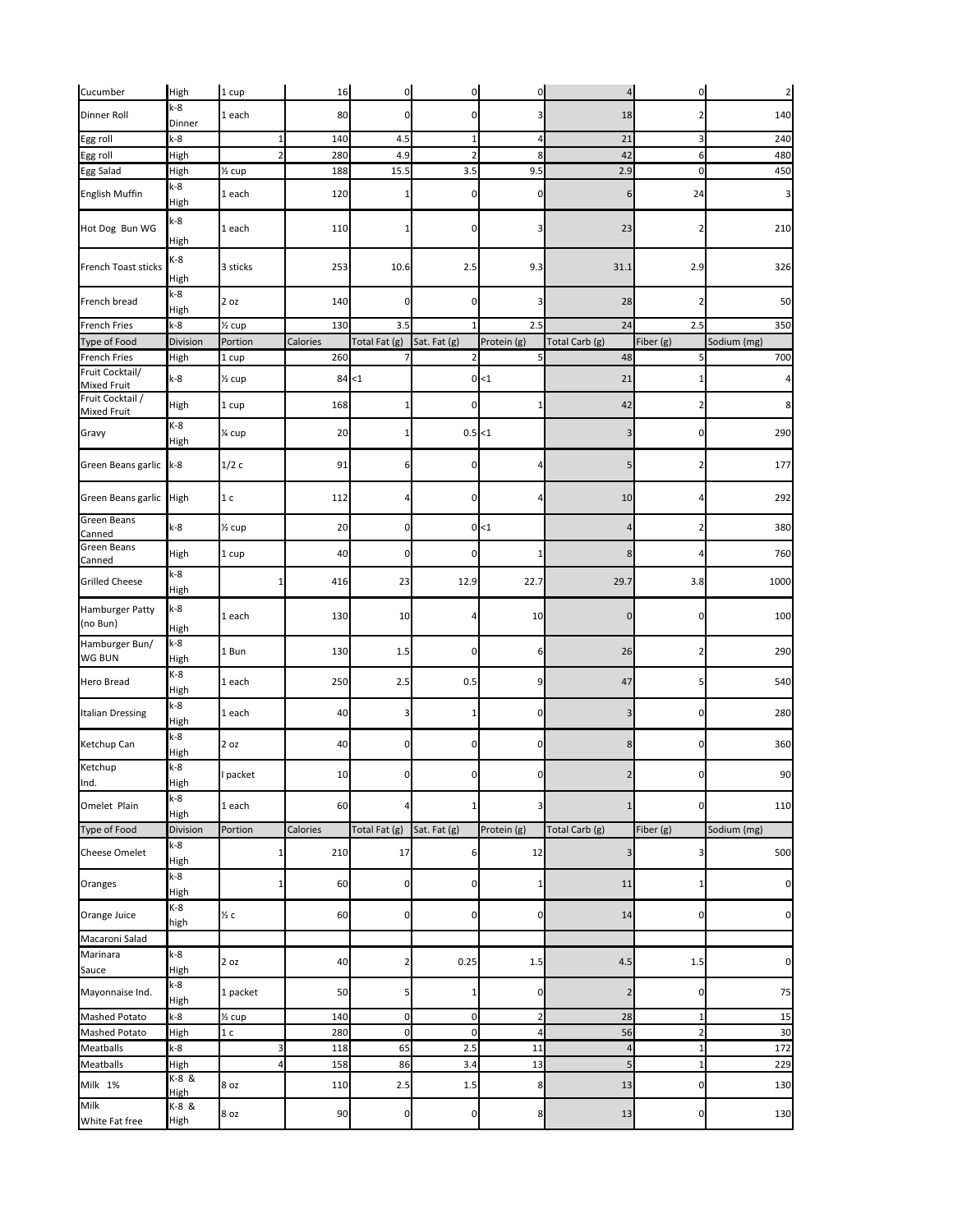| Cucumber                               | High                 | 1 cup             | 16       | $\overline{0}$ | $\overline{0}$ | $\overline{0}$  | $\overline{4}$ | $\overline{0}$ | $\overline{2}$   |
|----------------------------------------|----------------------|-------------------|----------|----------------|----------------|-----------------|----------------|----------------|------------------|
| Dinner Roll                            | k-8<br>Dinner        | 1 each            | 80       | 0              | 0              | 3               | 18             |                | 140              |
| Egg roll                               | $k-8$                |                   | 140      | 4.5            |                | 4               | 21             |                | 240              |
| Egg roll                               | High                 |                   | 280      | 4.9            |                | 8               | 42             |                | 480              |
| Egg Salad                              | High                 | $\frac{1}{2}$ cup | 188      | 15.5           | 3.5            | 9.5             | 2.9            |                | 450              |
| <b>English Muffin</b>                  | $k-8$<br>High        | 1 each            | 120      |                | n              | $\overline{0}$  | 6              | 24             | $\overline{3}$   |
| Hot Dog Bun WG                         | $k-8$<br>High        | 1 each            | 110      |                |                |                 | 23             |                | 210              |
| French Toast sticks                    | K-8<br>High          | 3 sticks          | 253      | 10.6           | 2.5            | 9.3             | 31.1           | 2.9            | 326              |
| French bread                           | $k-8$<br>High        | $2$ oz            | 140      | 0              | n              | 3               | 28             |                | 50               |
| <b>French Fries</b>                    | $k-8$                | $\frac{1}{2}$ cup | 130      | 3.5            |                | 2.5             | 24             | 2.5            | 350              |
| Type of Food                           | Division             | Portion           | Calories | Total Fat (g)  | Sat. Fat (g)   | Protein (g)     | Total Carb (g) | Fiber (g)      | Sodium (mg)      |
| <b>French Fries</b>                    | High                 | 1 cup             | 260      |                |                |                 | 48             |                | 700              |
| Fruit Cocktail/<br><b>Mixed Fruit</b>  | $k-8$                | $\frac{1}{2}$ cup |          | 84 < 1         |                | 0 < 1           | 21             |                | $\overline{4}$   |
| Fruit Cocktail /<br><b>Mixed Fruit</b> | <b>High</b>          | 1 cup             | 168      |                | 0              | 1               | 42             |                | $\boldsymbol{8}$ |
| Gravy                                  | K-8<br><b>High</b>   | 1⁄4 cup           | 20       |                | $0.5$ < 1      |                 | 3              |                | 290              |
| Green Beans garlic                     | $k-8$                | 1/2c              | 91       | 6              | 01             | 4               | 5 <sub>l</sub> |                | 177              |
| Green Beans garlic High                |                      | 1 <sub>c</sub>    | 112      | 4              | o              | $\overline{4}$  | 10             |                | 292              |
| <b>Green Beans</b><br>Canned           | $k-8$                | $\frac{1}{2}$ cup | 20       | 0              |                | 0 < 1           | 4              |                | 380              |
| <b>Green Beans</b><br>Canned           | High                 | 1 cup             | 40       | $\Omega$       | ΩI             | 1 <sup>1</sup>  | $\mathsf{R}$   |                | 760              |
| <b>Grilled Cheese</b>                  | $k-8$<br>High        |                   | 416      | 23             | 12.9           | 22.7            | 29.7           | 3.8            | 1000             |
| <b>Hamburger Patty</b><br>(no Bun)     | $k-8$<br>High        | 1 each            | 130      | 10             |                | 10              |                |                | 100              |
| Hamburger Bun/<br><b>WG BUN</b>        | $k-8$<br>High        | 1 Bun             | 130      | 1.5            | 0              | $6 \mid$        | 26             |                | 290              |
| <b>Hero Bread</b>                      | $K-8$<br>High        | 1 each            | 250      | 2.5            | 0.5            | 9               | 47             | 5              | 540              |
| <b>Italian Dressing</b>                | $k-8$<br>High        | 1 each            | 40       | 31             |                | $\overline{0}$  | 3              | $\Omega$       | 280              |
| Ketchup Can                            | $k-8$<br>High        | 2 oz              | 40       | $\overline{0}$ | 0              | $\overline{0}$  | 8              | 0              | 360              |
| Ketchup<br>Ind.                        | $k-8$<br>High        | I packet          | 10       | 0              | 0              | $\overline{0}$  | $\overline{2}$ | 0              | 90               |
| Omelet Plain                           | $k-8$<br>High        | 1 each            | 60       |                |                | 3               |                | 0              | 110              |
| Type of Food                           | Division             | Portion           | Calories | Total Fat (g)  | Sat. Fat (g)   | Protein (g)     | Total Carb (g) | Fiber (g)      | Sodium (mg)      |
| <b>Cheese Omelet</b>                   | $k-8$<br>High        |                   | 210      | 17             | 6              | 12              | 3              | З              | 500              |
| Oranges                                | $k-8$<br>High        |                   | 60       | 0              | 01             | 1               | 11             |                | $\mathbf 0$      |
| Orange Juice                           | $K-8$<br>high        | $\frac{1}{2}c$    | 60       | 0              | 01             | $\overline{0}$  | 14             | 0              | $\mathbf 0$      |
| Macaroni Salad                         |                      |                   |          |                |                |                 |                |                |                  |
| Marinara<br>Sauce                      | $k-8$<br>High        | 2 oz              | 40       | 2              | 0.25           | 1.5             | 4.5            | 1.5            | $\mathbf 0$      |
| Mayonnaise Ind.                        | $k-8$<br>High        | 1 packet          | 50       | 5              |                | $\overline{0}$  | 2              | 0              | 75               |
| <b>Mashed Potato</b>                   | $k-8$                | $\frac{1}{2}$ cup | 140      | $\overline{0}$ | 0              |                 | 28             |                | 15               |
| Mashed Potato                          | High                 | 1 <sub>c</sub>    | 280      | $\overline{0}$ | $\overline{0}$ | $\vert 4 \vert$ | 56             | $\mathbf{z}$   | 30               |
| <b>Meatballs</b>                       | $k-8$                | 31                | 118      | 65             | 2.5            | 11              | 4              | $\mathbf{1}$   | 172              |
| <b>Meatballs</b>                       | High                 | 4                 | 158      | 86             | 3.4            | 13              | 5              | 1              | 229              |
| Milk 1%                                | K-8 &<br><b>High</b> | 8 oz              | 110      | 2.5            | 1.5            | 8               | 13             | 0              | 130              |
| Milk<br>White Fat free                 | $K-8$ &<br>High      | 8 oz              | 90       | $\overline{0}$ | $\overline{0}$ | 8 <sup>1</sup>  | 13             | $\overline{0}$ | 130              |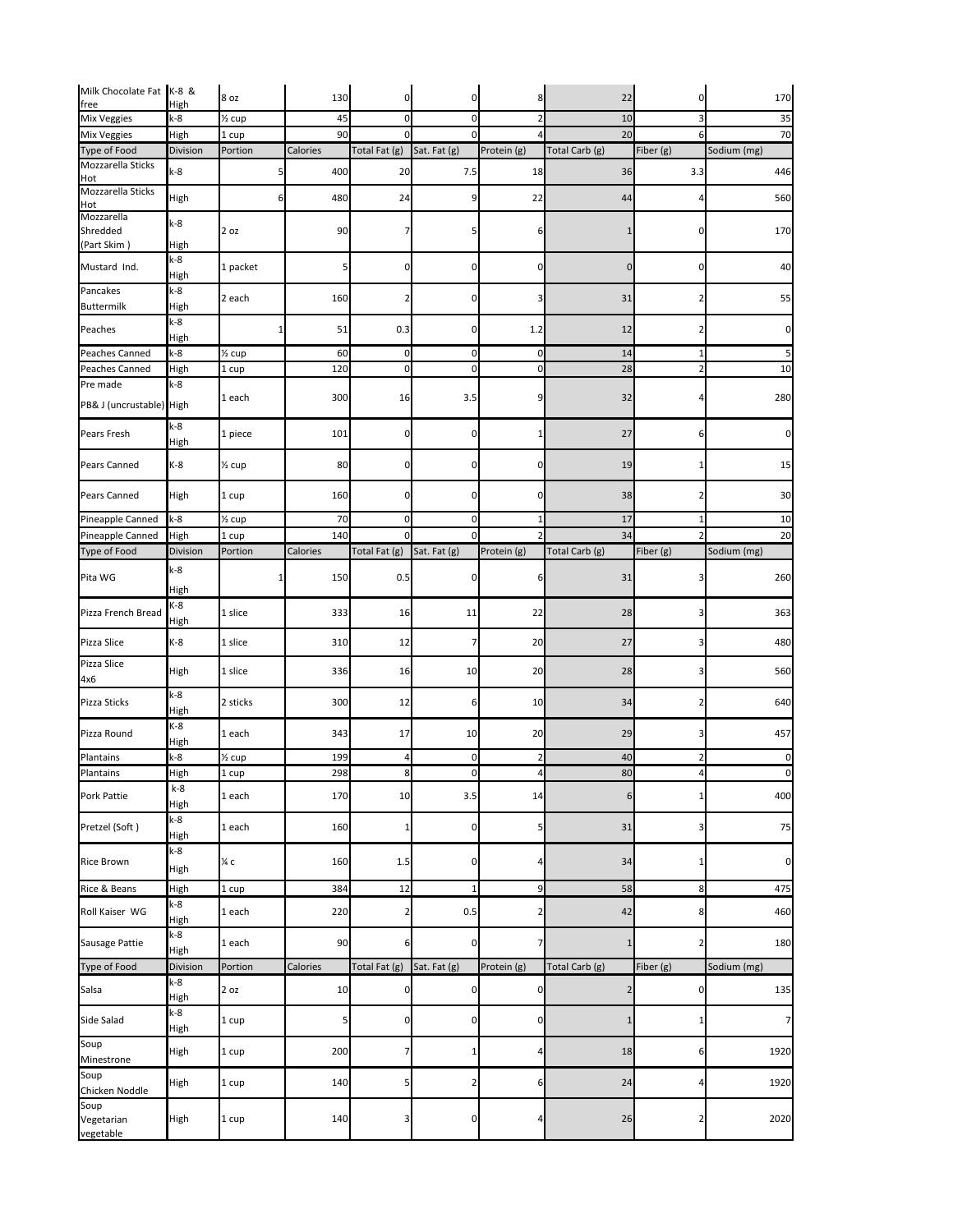| Milk Chocolate Fat K-8 &        |                      | 8 oz                | 130      | 0                              | 0              | 8           | 22             | $\overline{0}$   | 170         |
|---------------------------------|----------------------|---------------------|----------|--------------------------------|----------------|-------------|----------------|------------------|-------------|
| free<br><b>Mix Veggies</b>      | High<br>$k-8$        | $\frac{1}{2}$ cup   | 45       | $\mathbf 0$                    | $\overline{0}$ |             | $10\,$         | 3                | 35          |
| <b>Mix Veggies</b>              | High                 | 1 cup               | 90       | $\Omega$                       | $\Omega$       |             | 20             | 6                | 70          |
| Type of Food                    | Division             | Portion             | Calories | Total Fat (g)                  | Sat. Fat (g)   | Protein (g) | Total Carb (g) | Fiber (g)        | Sodium (mg) |
| Mozzarella Sticks               |                      |                     |          |                                |                |             |                |                  |             |
| Hot<br>Mozzarella Sticks        | $k-8$                |                     | 400      | 20                             | 7.5            | 18          | 36             | 3.3              | 446         |
| Hot                             | High                 | 6                   | 480      | 24                             | 9              | 22          | 44             | 4                | 560         |
| Mozzarella<br>Shredded          | $k-8$                | 2 oz                | 90       |                                |                | 6           | 1              | 0                | 170         |
| (Part Skim)                     | High<br>$k-8$        |                     |          |                                |                |             |                |                  |             |
| Mustard Ind.                    | High                 | 1 packet            | 51       | 0                              | 0              | 0           | $\overline{0}$ | $\overline{0}$   | 40          |
| Pancakes<br><b>Buttermilk</b>   | $k-8$<br>High        | 2 each              | 160      | 2                              | 0              |             | 31             | 2                | 55          |
| Peaches                         | $k-8$<br>High        |                     | 51       | 0.3                            | 0              | 1.2         | 12             |                  | 0           |
| Peaches Canned                  | $k-8$                | $\frac{1}{2}$ cup   | 60       | $\overline{0}$                 | $\overline{0}$ | $\pmb{0}$   | 14             |                  |             |
| Peaches Canned                  |                      | 1 cup               | 120      | $\overline{0}$                 | $\overline{0}$ | $\pmb{0}$   | 28             |                  | 5<br>10     |
| Pre made                        | High<br>$k-8$        |                     |          |                                |                |             |                |                  |             |
| PB& J (uncrustable) High        |                      | 1 each              | 300      | 16                             | 3.5            | 9           | 32             |                  | 280         |
| Pears Fresh                     | $k-8$<br>High        | 1 piece             | 101      | 0                              | 0              |             | $27$           | 6                | 0           |
| <b>Pears Canned</b>             | $K-8$                | $\frac{1}{2}$ cup   | 80       | 0                              | $\Omega$       | $\Omega$    | 19             | 1                | 15          |
| <b>Pears Canned</b>             | High                 | 1 cup               | 160      | 0                              | 0              | 0           | 38             |                  | 30          |
| Pineapple Canned                | $k-8$                | $\frac{1}{2}$ cup   | 70       | $\mathbf 0$                    | <sub>0</sub>   |             | 17             |                  | 10          |
| Pineapple Canned                | High                 | 1 cup               | 140      | 0                              |                |             | 34             |                  | 20          |
| Type of Food                    | Division             | Portion             | Calories | Total Fat $(g)$ Sat. Fat $(g)$ |                | Protein (g) | Total Carb (g) | Fiber (g)        | Sodium (mg) |
| Pita WG                         | $k-8$<br>High        |                     | 150      | 0.5                            | 0              | b           | 31             | 3                | 260         |
| Pizza French Bread              | $K-8$<br>High        | 1 slice             | 333      | 16                             | 11             | 22          | 28             | 3                | 363         |
| Pizza Slice                     | $K-8$                | 1 slice             | 310      | 12                             |                | 20          | 27             | 3                | 480         |
| Pizza Slice<br>4x6              | High                 | 1 slice             | 336      | 16                             | 10             | 20          | 28             | 3                | 560         |
| Pizza Sticks                    | $k-8$<br>High        | 2 sticks            | 300      | 12                             | 6              | 10          | 34             |                  | 640         |
| Pizza Round                     | $K-8$<br>High        | 1 each              | 343      | 17                             | 10             | 20          | 29             |                  | 457         |
| Plantains                       | $k-8$                | 1/ <sub>2</sub> cup | 199      | 4                              | $\overline{0}$ | 2           | 40             |                  | 0           |
| Plantains                       | High                 | 1 cup               | 298      | 8                              | 0              | 4           | 80             |                  | 0           |
| Pork Pattie                     | $k-8$<br>High        | 1 each              | 170      | 10                             | 3.5            | 14          | 6              |                  | 400         |
| Pretzel (Soft)                  | $k-8$<br>High        | 1 each              | 160      | 1                              | 0              | 5           | 31             | 31               | 75          |
| <b>Rice Brown</b>               | $k-8$                | $\frac{1}{4}c$      | 160      | 1.5                            | $\Omega$       |             | 34             |                  | $\pmb{0}$   |
| Rice & Beans                    | High<br>High         | 1 cup               | 384      | 12                             |                | 9           | 58             | 8                | 475         |
| Roll Kaiser WG                  | $k-8$                | 1 each              | 220      | 2                              | 0.5            |             | 42             | 8                | 460         |
| Sausage Pattie                  | High<br>$k-8$        | 1 each              | 90       | 6                              | 0              |             | 1              |                  | 180         |
| Type of Food                    | High<br>Division     | Portion             | Calories | Total Fat (g)                  | Sat. Fat (g)   | Protein (g) | Total Carb (g) | Fiber (g)        | Sodium (mg) |
|                                 | k-8                  |                     |          |                                |                |             |                |                  |             |
| Salsa                           | High                 | 2 oz                | 10       | 0                              | 0              | 0           | 2              | 0                | 135         |
| Side Salad                      | $k-8$<br><b>High</b> | 1 cup               | 5        | 0                              | ΩI             | 0           | 1              |                  | 7           |
| Soup<br>Minestrone              | High                 | 1 cup               | 200      | 7                              |                | 4           | $18\,$         | $6 \overline{6}$ | 1920        |
| Soup<br>Chicken Noddle          | High                 | 1 cup               | 140      | 5                              | 2              | 6           | 24             | 4                | 1920        |
| Soup<br>Vegetarian<br>vegetable | High                 | 1 cup               | 140      | 3                              | <sub>0</sub>   | 4           | $26\,$         | 2                | 2020        |